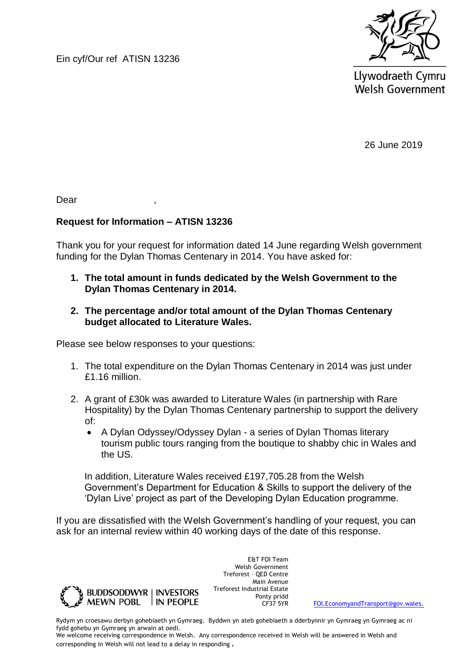Ein cyf/Our ref ATISN 13236



Llywodraeth Cymru **Welsh Government** 

26 June 2019

Dear ,

## **Request for Information – ATISN 13236**

Thank you for your request for information dated 14 June regarding Welsh government funding for the Dylan Thomas Centenary in 2014. You have asked for:

- **1. The total amount in funds dedicated by the Welsh Government to the Dylan Thomas Centenary in 2014.**
- **2. The percentage and/or total amount of the Dylan Thomas Centenary budget allocated to Literature Wales.**

Please see below responses to your questions:

- 1. The total expenditure on the Dylan Thomas Centenary in 2014 was just under £1.16 million.
- 2. A grant of £30k was awarded to Literature Wales (in partnership with Rare Hospitality) by the Dylan Thomas Centenary partnership to support the delivery of:
	- A Dylan Odyssey/Odyssey Dylan a series of Dylan Thomas literary tourism public tours ranging from the boutique to shabby chic in Wales and the US.

In addition, Literature Wales received £197,705.28 from the Welsh Government's Department for Education & Skills to support the delivery of the 'Dylan Live' project as part of the Developing Dylan Education programme.

If you are dissatisfied with the Welsh Government's handling of your request, you can ask for an internal review within 40 working days of the date of this response.



E&T FOI Team Welsh Government Treforest – QED Centre Main Avenue Treforest Industrial Estate Ponty pridd<br>CF37 5YR

[FOI.EconomyandTransport@gov.wales.](mailto:FOI.EconomyandTransport@gov.wales)

Rydym yn croesawu derbyn gohebiaeth yn Gymraeg. Byddwn yn ateb gohebiaeth a dderbynnir yn Gymraeg yn Gymraeg ac ni fydd gohebu yn Gymraeg yn arwain at oedi.

We welcome receiving correspondence in Welsh. Any correspondence received in Welsh will be answered in Welsh and corresponding in Welsh will not lead to a delay in responding.